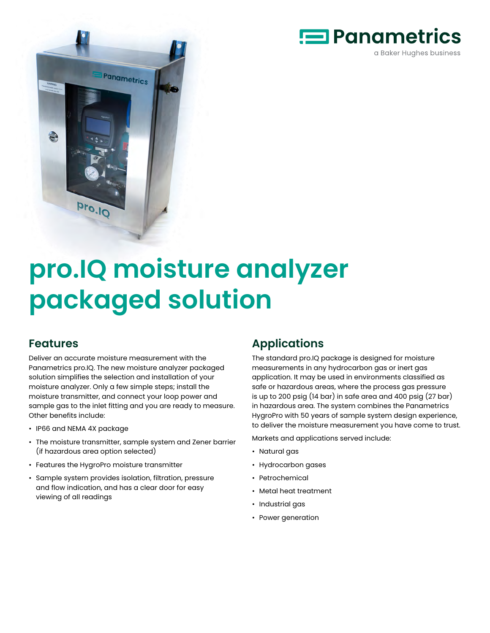



# **pro.IQ moisture analyzer packaged solution**

# **Features**

Deliver an accurate moisture measurement with the Panametrics pro.IQ. The new moisture analyzer packaged solution simplifies the selection and installation of your moisture analyzer. Only a few simple steps; install the moisture transmitter, and connect your loop power and sample gas to the inlet fitting and you are ready to measure. Other benefits include:

- IP66 and NEMA 4X package
- The moisture transmitter, sample system and Zener barrier (if hazardous area option selected)
- Features the HygroPro moisture transmitter
- Sample system provides isolation, filtration, pressure and flow indication, and has a clear door for easy viewing of all readings

# **Applications**

The standard pro.IQ package is designed for moisture measurements in any hydrocarbon gas or inert gas application. It may be used in environments classified as safe or hazardous areas, where the process gas pressure is up to 200 psig (14 bar) in safe area and 400 psig (27 bar) in hazardous area. The system combines the Panametrics HygroPro with 50 years of sample system design experience, to deliver the moisture measurement you have come to trust.

Markets and applications served include:

- Natural gas
- Hydrocarbon gases
- Petrochemical
- Metal heat treatment
- Industrial gas
- Power generation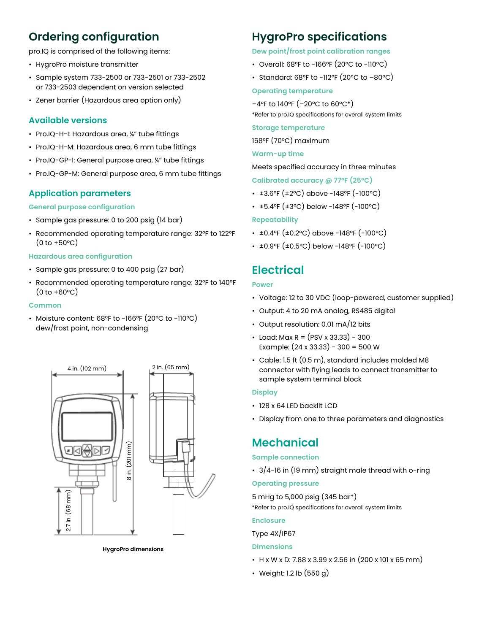# **Ordering configuration**

pro.IQ is comprised of the following items:

- HygroPro moisture transmitter
- Sample system 733-2500 or 733-2501 or 733-2502 or 733-2503 dependent on version selected
- Zener barrier (Hazardous area option only)

# **Available versions**

- Pro.IQ-H-I: Hazardous area, ¼" tube fittings
- Pro.IQ-H-M: Hazardous area, 6 mm tube fittings
- Pro.IQ-GP-I: General purpose area, ¼" tube fittings
- Pro.IQ-GP-M: General purpose area, 6 mm tube fittings

# **Application parameters**

## **General purpose configuration**

- Sample gas pressure: 0 to 200 psig (14 bar)
- Recommended operating temperature range: 32°F to 122°F  $(0 to +50°C)$

## **Hazardous area configuration**

- Sample gas pressure: 0 to 400 psig (27 bar)
- Recommended operating temperature range: 32°F to 140°F  $(0 to +60°C)$

#### **Common**

• Moisture content: 68°F to -166°F (20°C to -110°C) dew/frost point, non-condensing



# **HygroPro specifications**

## **Dew point/frost point calibration ranges**

- Overall: 68°F to -166°F (20°C to -110°C)
- Standard: 68°F to -112°F (20°C to –80°C)

#### **Operating temperature**

–4°F to 140°F (–20°C to 60°C\*)

\*Refer to pro.IQ specifications for overall system limits

## **Storage temperature**

158°F (70°C) maximum

## **Warm-up time**

Meets specified accuracy in three minutes

**Calibrated accuracy @ 77°F (25°C)**

- ±3.6°F (±2°C) above -148°F (-100°C)
- ±5.4°F (±3°C) below -148°F (-100°C)

## **Repeatability**

- ±0.4°F (±0.2°C) above -148°F (-100°C)
- ±0.9°F (±0.5°C) below -148°F (-100°C)

# **Electrical**

#### **Power**

- Voltage: 12 to 30 VDC (loop-powered, customer supplied)
- Output: 4 to 20 mA analog, RS485 digital
- Output resolution: 0.01 mA/12 bits
- Load: Max R = (PSV x 33.33) 300 Example:  $(24 \times 33.33) - 300 = 500$  W
- Cable: 1.5 ft (0.5 m), standard includes molded M8 connector with flying leads to connect transmitter to sample system terminal block

#### **Display**

- 128 x 64 LED backlit LCD
- Display from one to three parameters and diagnostics

# **Mechanical**

#### **Sample connection**

• 3/4-16 in (19 mm) straight male thread with o-ring

## **Operating pressure**

5 mHg to 5,000 psig (345 bar\*) \*Refer to pro.IQ specifications for overall system limits

#### **Enclosure**

#### Type 4X/IP67

#### **Dimensions**

- H x W x D: 7.88 x 3.99 x 2.56 in (200 x 101 x 65 mm)
- Weight: 1.2 lb (550 g)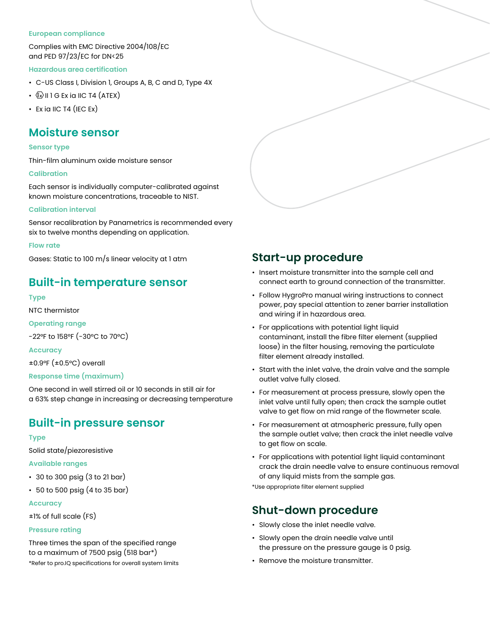#### **European compliance**

Complies with EMC Directive 2004/108/EC and PED 97/23/EC for DN<25

#### **Hazardous area certification**

- C-US Class I, Division 1, Groups A, B, C and D, Type 4X
- $\cdot$   $\mathbb{Q}$  II 1 G Ex ia IIC T4 (ATEX)
- Ex ia IIC T4 (IEC Ex)

# **Moisture sensor**

#### **Sensor type**

Thin-film aluminum oxide moisture sensor

#### **Calibration**

Each sensor is individually computer-calibrated against known moisture concentrations, traceable to NIST.

#### **Calibration interval**

Sensor recalibration by Panametrics is recommended every six to twelve months depending on application.

#### **Flow rate**

Gases: Static to 100 m/s linear velocity at 1 atm

# **Built-in temperature sensor**

#### **Type**

NTC thermistor

**Operating range**

-22°F to 158°F (-30°C to 70°C)

**Accuracy** ±0.9°F (±0.5°C) overall

## **Response time (maximum)**

One second in well stirred oil or 10 seconds in still air for a 63% step change in increasing or decreasing temperature

# **Built-in pressure sensor**

## **Type**

Solid state/piezoresistive

## **Available ranges**

- 30 to 300 psig (3 to 21 bar)
- 50 to 500 psig (4 to 35 bar)

## **Accuracy**

±1% of full scale (FS)

## **Pressure rating**

Three times the span of the specified range to a maximum of 7500 psig (518 bar\*) \*Refer to pro.IQ specifications for overall system limits

# **Start-up procedure**

- Insert moisture transmitter into the sample cell and connect earth to ground connection of the transmitter.
- Follow HygroPro manual wiring instructions to connect power, pay special attention to zener barrier installation and wiring if in hazardous area.
- For applications with potential light liquid contaminant, install the fibre filter element (supplied loose) in the filter housing, removing the particulate filter element already installed.
- Start with the inlet valve, the drain valve and the sample outlet valve fully closed.
- For measurement at process pressure, slowly open the inlet valve until fully open; then crack the sample outlet valve to get flow on mid range of the flowmeter scale.
- For measurement at atmospheric pressure, fully open the sample outlet valve; then crack the inlet needle valve to get flow on scale.
- For applications with potential light liquid contaminant crack the drain needle valve to ensure continuous removal of any liquid mists from the sample gas.

\*Use appropriate filter element supplied

# **Shut-down procedure**

- Slowly close the inlet needle valve.
- Slowly open the drain needle valve until the pressure on the pressure gauge is 0 psig.
- Remove the moisture transmitter.